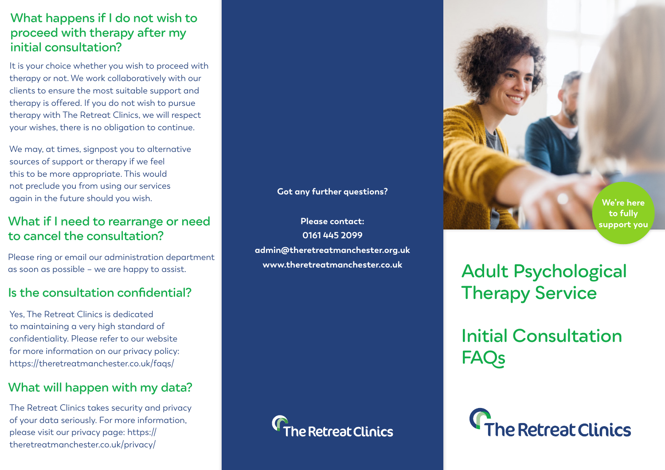## **Adult Psychological Therapy Service**

# **C**The Retreat Clinics

**Initial Consultation FAQs**







**0161 445 2099 admin@theretreatmanchester.org.uk www.theretreatmanchester.co.uk**

#### **What happens if I do not wish to proceed with therapy after my initial consultation?**

It is your choice whether you wish to proceed with therapy or not. We work collaboratively with our clients to ensure the most suitable support and therapy is offered. If you do not wish to pursue therapy with The Retreat Clinics, we will respect your wishes, there is no obligation to continue.

We may, at times, signpost you to alternative sources of support or therapy if we feel this to be more appropriate. This would not preclude you from using our services again in the future should you wish.

#### **What if I need to rearrange or need to cancel the consultation?**

Please ring or email our administration department as soon as possible – we are happy to assist.

#### **Is the consultation confidential?**

#### **Got any further questions?**

Yes, The Retreat Clinics is dedicated to maintaining a very high standard of confidentiality. Please refer to our website for more information on our privacy policy: https://theretreatmanchester.co.uk/faqs/

#### **What will happen with my data?**

The Retreat Clinics takes security and privacy of your data seriously. For more information, please visit our privacy page: https:// theretreatmanchester.co.uk/privacy/